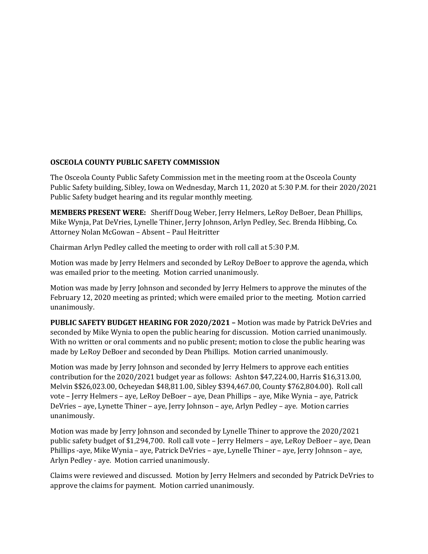## **OSCEOLA COUNTY PUBLIC SAFETY COMMISSION**

The Osceola County Public Safety Commission met in the meeting room at the Osceola County Public Safety building, Sibley, Iowa on Wednesday, March 11, 2020 at 5:30 P.M. for their 2020/2021 Public Safety budget hearing and its regular monthly meeting.

**MEMBERS PRESENT WERE:** Sheriff Doug Weber, Jerry Helmers, LeRoy DeBoer, Dean Phillips, Mike Wynja, Pat DeVries, Lynelle Thiner, Jerry Johnson, Arlyn Pedley, Sec. Brenda Hibbing, Co. Attorney Nolan McGowan – Absent – Paul Heitritter

Chairman Arlyn Pedley called the meeting to order with roll call at 5:30 P.M.

Motion was made by Jerry Helmers and seconded by LeRoy DeBoer to approve the agenda, which was emailed prior to the meeting. Motion carried unanimously.

Motion was made by Jerry Johnson and seconded by Jerry Helmers to approve the minutes of the February 12, 2020 meeting as printed; which were emailed prior to the meeting. Motion carried unanimously.

**PUBLIC SAFETY BUDGET HEARING FOR 2020/2021 –** Motion was made by Patrick DeVries and seconded by Mike Wynia to open the public hearing for discussion. Motion carried unanimously. With no written or oral comments and no public present; motion to close the public hearing was made by LeRoy DeBoer and seconded by Dean Phillips. Motion carried unanimously.

Motion was made by Jerry Johnson and seconded by Jerry Helmers to approve each entities contribution for the 2020/2021 budget year as follows: Ashton \$47,224.00, Harris \$16,313.00, Melvin \$\$26,023.00, Ocheyedan \$48,811.00, Sibley \$394,467.00, County \$762,804.00). Roll call vote – Jerry Helmers – aye, LeRoy DeBoer – aye, Dean Phillips – aye, Mike Wynia – aye, Patrick DeVries – aye, Lynette Thiner – aye, Jerry Johnson – aye, Arlyn Pedley – aye. Motion carries unanimously.

Motion was made by Jerry Johnson and seconded by Lynelle Thiner to approve the 2020/2021 public safety budget of \$1,294,700. Roll call vote – Jerry Helmers – aye, LeRoy DeBoer – aye, Dean Phillips -aye, Mike Wynia – aye, Patrick DeVries – aye, Lynelle Thiner – aye, Jerry Johnson – aye, Arlyn Pedley - aye. Motion carried unanimously.

Claims were reviewed and discussed. Motion by Jerry Helmers and seconded by Patrick DeVries to approve the claims for payment. Motion carried unanimously.